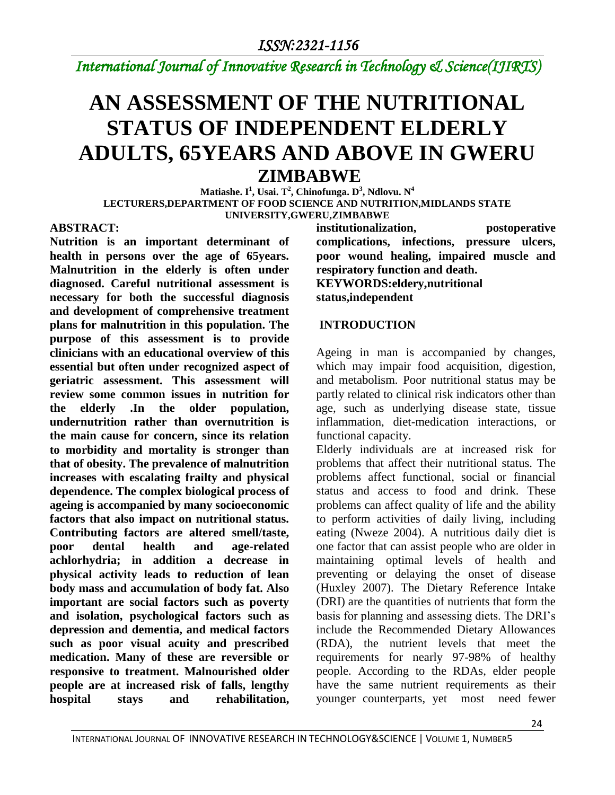## *International Journal of Innovative Research in Technology & Science(IJIRTS)*

# **AN ASSESSMENT OF THE NUTRITIONAL STATUS OF INDEPENDENT ELDERLY ADULTS, 65YEARS AND ABOVE IN GWERU ZIMBABWE**

**Matiashe. I 1 , Usai. T 2 , Chinofunga. D 3 , Ndlovu. N 4 LECTURERS,DEPARTMENT OF FOOD SCIENCE AND NUTRITION,MIDLANDS STATE UNIVERSITY,GWERU,ZIMBABWE**

#### **ABSTRACT:**

**Nutrition is an important determinant of health in persons over the age of 65years. Malnutrition in the elderly is often under diagnosed. Careful nutritional assessment is necessary for both the successful diagnosis and development of comprehensive treatment plans for malnutrition in this population. The purpose of this assessment is to provide clinicians with an educational overview of this essential but often under recognized aspect of geriatric assessment. This assessment will review some common issues in nutrition for the elderly .In the older population, undernutrition rather than overnutrition is the main cause for concern, since its relation to morbidity and mortality is stronger than that of obesity. The prevalence of malnutrition increases with escalating frailty and physical dependence. The complex biological process of ageing is accompanied by many socioeconomic factors that also impact on nutritional status. Contributing factors are altered smell/taste, poor dental health and age-related achlorhydria; in addition a decrease in physical activity leads to reduction of lean body mass and accumulation of body fat. Also important are social factors such as poverty and isolation, psychological factors such as depression and dementia, and medical factors such as poor visual acuity and prescribed medication. Many of these are reversible or responsive to treatment. Malnourished older people are at increased risk of falls, lengthy hospital stays and rehabilitation,**  **institutionalization, postoperative complications, infections, pressure ulcers, poor wound healing, impaired muscle and respiratory function and death. KEYWORDS:eldery,nutritional status,independent**

#### **INTRODUCTION**

Ageing in man is accompanied by changes, which may impair food acquisition, digestion, and metabolism. Poor nutritional status may be partly related to clinical risk indicators other than age, such as underlying disease state, tissue inflammation, diet-medication interactions, or functional capacity.

Elderly individuals are at increased risk for problems that affect their nutritional status. The problems affect functional, social or financial status and access to food and drink. These problems can affect quality of life and the ability to perform activities of daily living, including eating (Nweze 2004). A nutritious daily diet is one factor that can assist people who are older in maintaining optimal levels of health and preventing or delaying the onset of disease (Huxley 2007). The Dietary Reference Intake (DRI) are the quantities of nutrients that form the basis for planning and assessing diets. The DRI's include the Recommended Dietary Allowances (RDA), the nutrient levels that meet the requirements for nearly 97-98% of healthy people. According to the RDAs, elder people have the same nutrient requirements as their younger counterparts, yet most need fewer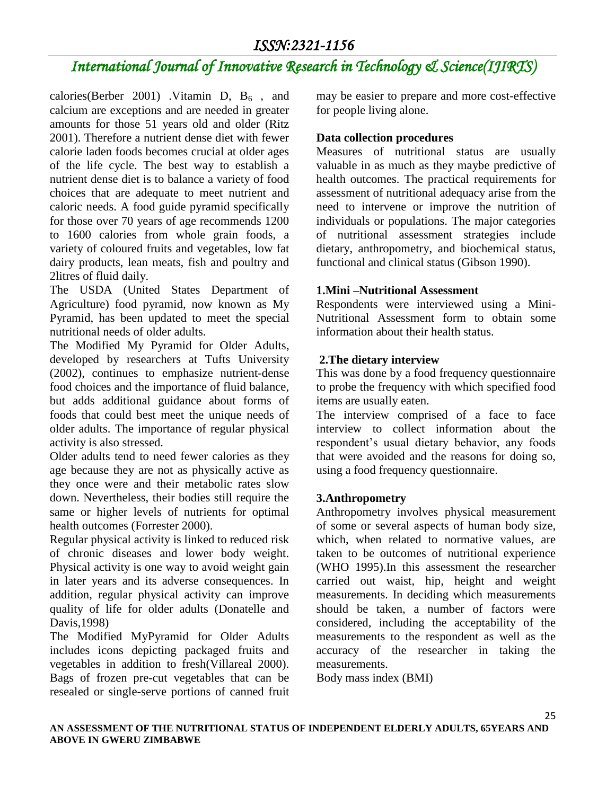## *International Journal of Innovative Research in Technology & Science(IJIRTS)*

calories(Berber 2001) .Vitamin D,  $B_6$ , and calcium are exceptions and are needed in greater amounts for those 51 years old and older (Ritz 2001). Therefore a nutrient dense diet with fewer calorie laden foods becomes crucial at older ages of the life cycle. The best way to establish a nutrient dense diet is to balance a variety of food choices that are adequate to meet nutrient and caloric needs. A food guide pyramid specifically for those over 70 years of age recommends 1200 to 1600 calories from whole grain foods, a variety of coloured fruits and vegetables, low fat dairy products, lean meats, fish and poultry and 2litres of fluid daily.

The USDA (United States Department of Agriculture) food pyramid, now known as [My](http://www.mypyramid.gov/)  [Pyramid,](http://www.mypyramid.gov/) has been updated to meet the special nutritional needs of older adults.

The [Modified My Pyramid for Older Adults,](http://nutrition.tufts.edu/docs/pdf/releases/ModifiedMyPyramid.pdf) developed by researchers at Tufts University (2002), continues to emphasize nutrient-dense food choices and the importance of fluid balance, but adds additional guidance about forms of foods that could best meet the unique needs of older adults. The importance of regular physical activity is also stressed.

Older adults tend to need fewer calories as they age because they are not as physically active as they once were and their metabolic rates slow down. Nevertheless, their bodies still require the same or higher levels of nutrients for optimal health outcomes (Forrester 2000).

Regular physical activity is linked to reduced risk of chronic diseases and lower body weight. Physical activity is one way to avoid weight gain in later years and its adverse consequences. In addition, regular physical activity can improve quality of life for older adults (Donatelle and Davis,1998)

The Modified MyPyramid for Older Adults includes icons depicting packaged fruits and vegetables in addition to fresh(Villareal 2000). Bags of frozen pre-cut vegetables that can be resealed or single-serve portions of canned fruit may be easier to prepare and more cost-effective for people living alone.

#### **Data collection procedures**

Measures of nutritional status are usually valuable in as much as they maybe predictive of health outcomes. The practical requirements for assessment of nutritional adequacy arise from the need to intervene or improve the nutrition of individuals or populations. The major categories of nutritional assessment strategies include dietary, anthropometry, and biochemical status, functional and clinical status (Gibson 1990).

#### **1.Mini –Nutritional Assessment**

Respondents were interviewed using a Mini-Nutritional Assessment form to obtain some information about their health status.

#### **2.The dietary interview**

This was done by a food frequency questionnaire to probe the frequency with which specified food items are usually eaten.

The interview comprised of a face to face interview to collect information about the respondent's usual dietary behavior, any foods that were avoided and the reasons for doing so, using a food frequency questionnaire.

#### **3.Anthropometry**

Anthropometry involves physical measurement of some or several aspects of human body size, which, when related to normative values, are taken to be outcomes of nutritional experience (WHO 1995).In this assessment the researcher carried out waist, hip, height and weight measurements. In deciding which measurements should be taken, a number of factors were considered, including the acceptability of the measurements to the respondent as well as the accuracy of the researcher in taking the measurements.

Body mass index (BMI)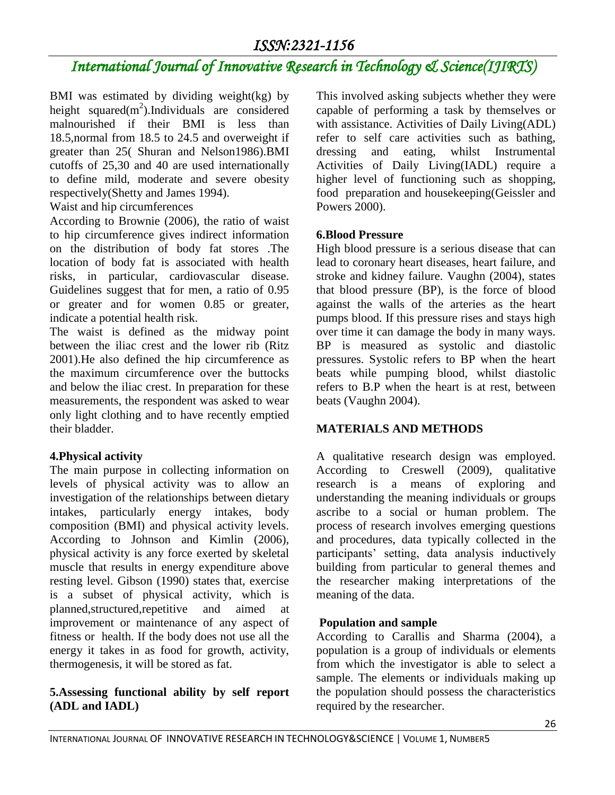## *International Journal of Innovative Research in Technology & Science(IJIRTS)*

BMI was estimated by dividing weight(kg) by height squared $(m^2)$ .Individuals are considered malnourished if their BMI is less than 18.5,normal from 18.5 to 24.5 and overweight if greater than 25( Shuran and Nelson1986).BMI cutoffs of 25,30 and 40 are used internationally to define mild, moderate and severe obesity respectively(Shetty and James 1994).

Waist and hip circumferences

According to Brownie (2006), the ratio of waist to hip circumference gives indirect information on the distribution of body fat stores .The location of body fat is associated with health risks, in particular, cardiovascular disease. Guidelines suggest that for men, a ratio of 0.95 or greater and for women 0.85 or greater, indicate a potential health risk.

The waist is defined as the midway point between the iliac crest and the lower rib (Ritz 2001).He also defined the hip circumference as the maximum circumference over the buttocks and below the iliac crest. In preparation for these measurements, the respondent was asked to wear only light clothing and to have recently emptied their bladder.

## **4.Physical activity**

The main purpose in collecting information on levels of physical activity was to allow an investigation of the relationships between dietary intakes, particularly energy intakes, body composition (BMI) and physical activity levels. According to Johnson and Kimlin (2006), physical activity is any force exerted by skeletal muscle that results in energy expenditure above resting level. Gibson (1990) states that, exercise is a subset of physical activity, which is planned,structured,repetitive and aimed at improvement or maintenance of any aspect of fitness or health. If the body does not use all the energy it takes in as food for growth, activity, thermogenesis, it will be stored as fat.

## **5.Assessing functional ability by self report (ADL and IADL)**

This involved asking subjects whether they were capable of performing a task by themselves or with assistance. Activities of Daily Living(ADL) refer to self care activities such as bathing, dressing and eating, whilst Instrumental Activities of Daily Living(IADL) require a higher level of functioning such as shopping, food preparation and housekeeping(Geissler and Powers 2000).

## **6.Blood Pressure**

High blood pressure is a serious disease that can lead to coronary heart diseases, heart failure, and stroke and kidney failure. Vaughn (2004), states that blood pressure (BP), is the force of blood against the walls of the arteries as the heart pumps blood. If this pressure rises and stays high over time it can damage the body in many ways. BP is measured as systolic and diastolic pressures. Systolic refers to BP when the heart beats while pumping blood, whilst diastolic refers to B.P when the heart is at rest, between beats (Vaughn 2004).

## **MATERIALS AND METHODS**

A qualitative research design was employed. According to Creswell (2009), qualitative research is a means of exploring and understanding the meaning individuals or groups ascribe to a social or human problem. The process of research involves emerging questions and procedures, data typically collected in the participants' setting, data analysis inductively building from particular to general themes and the researcher making interpretations of the meaning of the data.

## **Population and sample**

According to Carallis and Sharma (2004), a population is a group of individuals or elements from which the investigator is able to select a sample. The elements or individuals making up the population should possess the characteristics required by the researcher.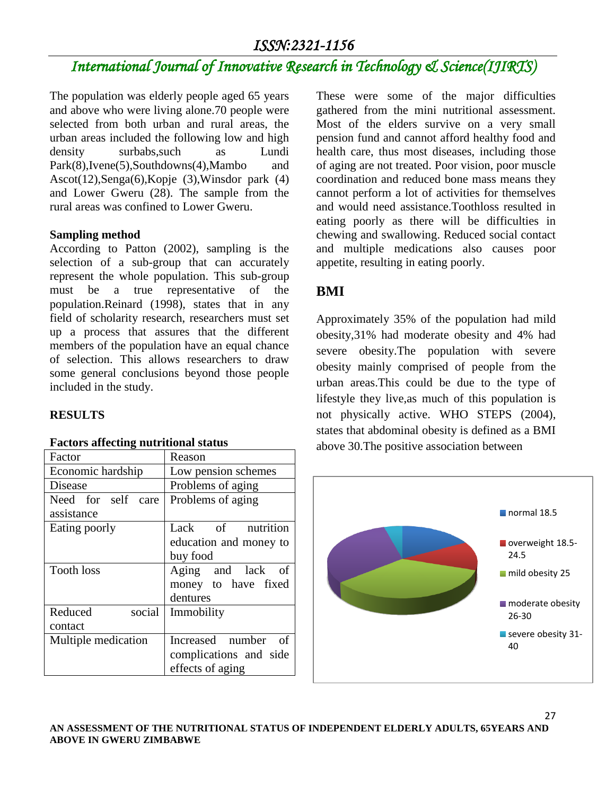## *International Journal of Innovative Research in Technology & Science(IJIRTS)*

The population was elderly people aged 65 years and above who were living alone.70 people were selected from both urban and rural areas, the urban areas included the following low and high density surbabs,such as Lundi Park(8),Ivene(5),Southdowns(4),Mambo and Ascot(12),Senga(6),Kopje (3),Winsdor park (4) and Lower Gweru (28). The sample from the rural areas was confined to Lower Gweru.

#### **Sampling method**

According to Patton (2002), sampling is the selection of a sub-group that can accurately represent the whole population. This sub-group must be a true representative of the population.Reinard (1998), states that in any field of scholarity research, researchers must set up a process that assures that the different members of the population have an equal chance of selection. This allows researchers to draw some general conclusions beyond those people included in the study.

#### **RESULTS**

| Factor                | Reason                 |  |
|-----------------------|------------------------|--|
| Economic hardship     | Low pension schemes    |  |
| Disease               | Problems of aging      |  |
| Need for self<br>care | Problems of aging      |  |
| assistance            |                        |  |
| Eating poorly         | Lack of nutrition      |  |
|                       | education and money to |  |
|                       | buy food               |  |
| <b>Tooth loss</b>     | Aging and lack<br>οf   |  |
|                       | money to have fixed    |  |
|                       | dentures               |  |
| Reduced<br>social     | Immobility             |  |
| contact               |                        |  |
| Multiple medication   | Increased number<br>οf |  |
|                       | complications and side |  |
|                       | effects of aging       |  |

These were some of the major difficulties gathered from the mini nutritional assessment. Most of the elders survive on a very small pension fund and cannot afford healthy food and health care, thus most diseases, including those of aging are not treated. Poor vision, poor muscle coordination and reduced bone mass means they cannot perform a lot of activities for themselves and would need assistance.Toothloss resulted in eating poorly as there will be difficulties in chewing and swallowing. Reduced social contact and multiple medications also causes poor appetite, resulting in eating poorly.

## **BMI**

Approximately 35% of the population had mild obesity,31% had moderate obesity and 4% had severe obesity.The population with severe obesity mainly comprised of people from the urban areas.This could be due to the type of lifestyle they live,as much of this population is not physically active. WHO STEPS (2004), states that abdominal obesity is defined as a BMI above 30.The positive association between



27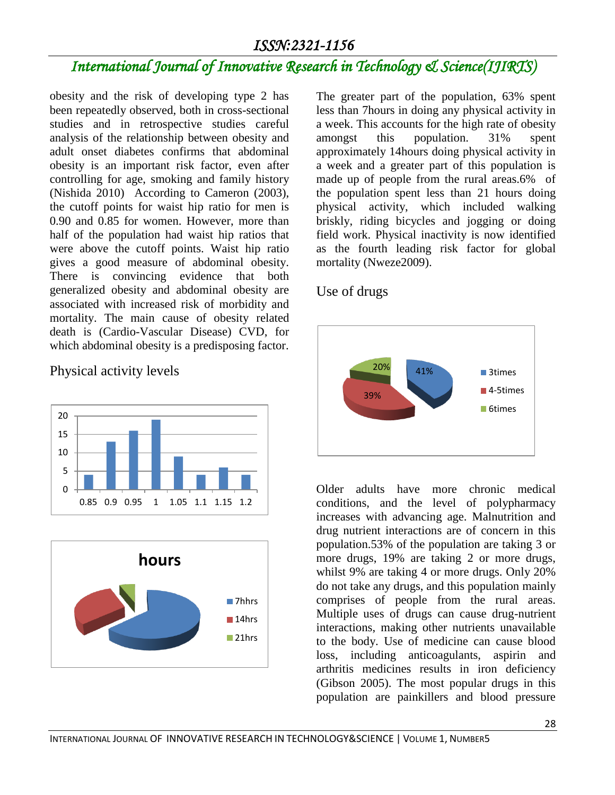## *International Journal of Innovative Research in Technology & Science(IJIRTS)*

obesity and the risk of developing type 2 has been repeatedly observed, both in cross-sectional studies and in retrospective studies careful analysis of the relationship between obesity and adult onset diabetes confirms that abdominal obesity is an important risk factor, even after controlling for age, smoking and family history (Nishida 2010) According to Cameron (2003), the cutoff points for waist hip ratio for men is 0.90 and 0.85 for women. However, more than half of the population had waist hip ratios that were above the cutoff points. Waist hip ratio gives a good measure of abdominal obesity. There is convincing evidence that both generalized obesity and abdominal obesity are associated with increased risk of morbidity and mortality. The main cause of obesity related death is (Cardio-Vascular Disease) CVD, for which abdominal obesity is a predisposing factor.

## Physical activity levels





The greater part of the population, 63% spent less than 7hours in doing any physical activity in a week. This accounts for the high rate of obesity amongst this population. 31% spent approximately 14hours doing physical activity in a week and a greater part of this population is made up of people from the rural areas.6% of the population spent less than 21 hours doing physical activity, which included walking briskly, riding bicycles and jogging or doing field work. Physical inactivity is now identified as the fourth leading risk factor for global mortality (Nweze2009).

## Use of drugs



Older adults have more chronic medical conditions, and the level of polypharmacy increases with advancing age. Malnutrition and drug nutrient interactions are of concern in this population.53% of the population are taking 3 or more drugs, 19% are taking 2 or more drugs, whilst 9% are taking 4 or more drugs. Only 20% do not take any drugs, and this population mainly comprises of people from the rural areas. Multiple uses of drugs can cause drug-nutrient interactions, making other nutrients unavailable to the body. Use of medicine can cause blood loss, including anticoagulants, aspirin and arthritis medicines results in iron deficiency (Gibson 2005). The most popular drugs in this population are painkillers and blood pressure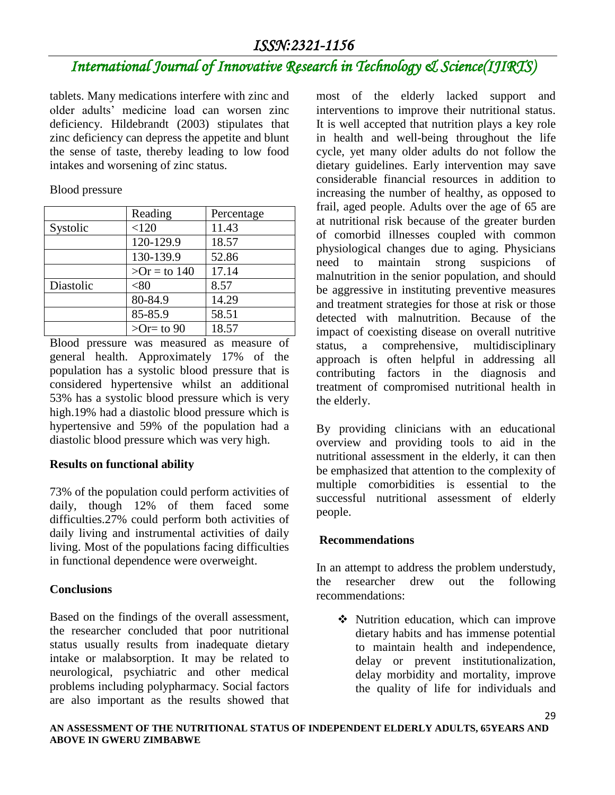## *International Journal of Innovative Research in Technology & Science(IJIRTS)*

tablets. Many medications interfere with zinc and older adults' medicine load can worsen zinc deficiency. Hildebrandt (2003) stipulates that zinc deficiency can depress the appetite and blunt the sense of taste, thereby leading to low food intakes and worsening of zinc status.

#### Blood pressure

|           | Reading              | Percentage |
|-----------|----------------------|------------|
| Systolic  | < 120                | 11.43      |
|           | 120-129.9            | 18.57      |
|           | 130-139.9            | 52.86      |
|           | $\Sigma$ or = to 140 | 17.14      |
| Diastolic | < 80                 | 8.57       |
|           | 80-84.9              | 14.29      |
|           | 85-85.9              | 58.51      |
|           | $\geq$ Or= to 90     | 18.57      |

Blood pressure was measured as measure of general health. Approximately 17% of the population has a systolic blood pressure that is considered hypertensive whilst an additional 53% has a systolic blood pressure which is very high.19% had a diastolic blood pressure which is hypertensive and 59% of the population had a diastolic blood pressure which was very high.

## **Results on functional ability**

73% of the population could perform activities of daily, though 12% of them faced some difficulties.27% could perform both activities of daily living and instrumental activities of daily living. Most of the populations facing difficulties in functional dependence were overweight.

## **Conclusions**

Based on the findings of the overall assessment, the researcher concluded that poor nutritional status usually results from inadequate dietary intake or malabsorption. It may be related to neurological, psychiatric and other medical problems including polypharmacy. Social factors are also important as the results showed that most of the elderly lacked support and interventions to improve their nutritional status. It is well accepted that nutrition plays a key role in health and well-being throughout the life cycle, yet many older adults do not follow the dietary guidelines. Early intervention may save considerable financial resources in addition to increasing the number of healthy, as opposed to frail, aged people. Adults over the age of 65 are at nutritional risk because of the greater burden of comorbid illnesses coupled with common physiological changes due to aging. Physicians need to maintain strong suspicions of malnutrition in the senior population, and should be aggressive in instituting preventive measures and treatment strategies for those at risk or those detected with malnutrition. Because of the impact of coexisting disease on overall nutritive status, a comprehensive, multidisciplinary approach is often helpful in addressing all contributing factors in the diagnosis and treatment of compromised nutritional health in the elderly.

By providing clinicians with an educational overview and providing tools to aid in the nutritional assessment in the elderly, it can then be emphasized that attention to the complexity of multiple comorbidities is essential to the successful nutritional assessment of elderly people.

## **Recommendations**

In an attempt to address the problem understudy, the researcher drew out the following recommendations:

 Nutrition education, which can improve dietary habits and has immense potential to maintain health and independence, delay or prevent institutionalization, delay morbidity and mortality, improve the quality of life for individuals and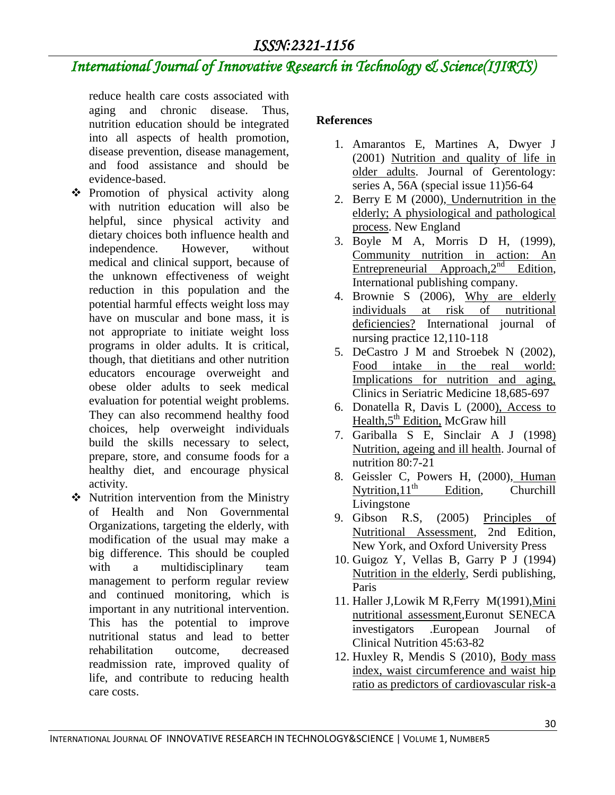## *International Journal of Innovative Research in Technology & Science(IJIRTS)*

reduce health care costs associated with aging and chronic disease. Thus, nutrition education should be integrated into all aspects of health promotion, disease prevention, disease management, and food assistance and should be evidence-based.

- Promotion of physical activity along with nutrition education will also be helpful, since physical activity and dietary choices both influence health and independence. However, without medical and clinical support, because of the unknown effectiveness of weight reduction in this population and the potential harmful effects weight loss may have on muscular and bone mass, it is not appropriate to initiate weight loss programs in older adults. It is critical, though, that dietitians and other nutrition educators encourage overweight and obese older adults to seek medical evaluation for potential weight problems. They can also recommend healthy food choices, help overweight individuals build the skills necessary to select, prepare, store, and consume foods for a healthy diet, and encourage physical activity.
- Nutrition intervention from the Ministry of Health and Non Governmental Organizations, targeting the elderly, with modification of the usual may make a big difference. This should be coupled with a multidisciplinary team management to perform regular review and continued monitoring, which is important in any nutritional intervention. This has the potential to improve nutritional status and lead to better rehabilitation outcome, decreased readmission rate, improved quality of life, and contribute to reducing health care costs.

#### **References**

- 1. Amarantos E, Martines A, Dwyer J (2001) Nutrition and quality of life in older adults. Journal of Gerentology: series A, 56A (special issue 11)56-64
- 2. Berry E M (2000), Undernutrition in the elderly; A physiological and pathological process. New England
- 3. Boyle M A, Morris D H, (1999), Community nutrition in action: An Entrepreneurial Approach, $2<sup>nd</sup>$  Edition, International publishing company.
- 4. Brownie S (2006), Why are elderly individuals at risk of nutritional deficiencies? International journal of nursing practice 12,110-118
- 5. DeCastro J M and Stroebek N (2002), Food intake in the real world: Implications for nutrition and aging, Clinics in Seriatric Medicine 18,685-697
- 6. Donatella R, Davis L (2000), Access to Health, 5<sup>th</sup> Edition, McGraw hill
- 7. Gariballa S E, Sinclair A J (1998) Nutrition, ageing and ill health. Journal of nutrition 80:7-21
- 8. Geissler C, Powers H, (2000), Human  $Nytrition, 11<sup>th</sup>$  Edition, Churchill Livingstone
- 9. Gibson R.S, (2005) Principles of Nutritional Assessment, 2nd Edition, New York, and Oxford University Press
- 10. Guigoz Y, Vellas B, Garry P J (1994) Nutrition in the elderly, Serdi publishing, Paris
- 11. Haller J, Lowik M R, Ferry M(1991), Mini nutritional assessment,Euronut SENECA investigators .European Journal of Clinical Nutrition 45:63-82
- 12. Huxley R, Mendis S (2010), Body mass index, waist circumference and waist hip ratio as predictors of cardiovascular risk-a